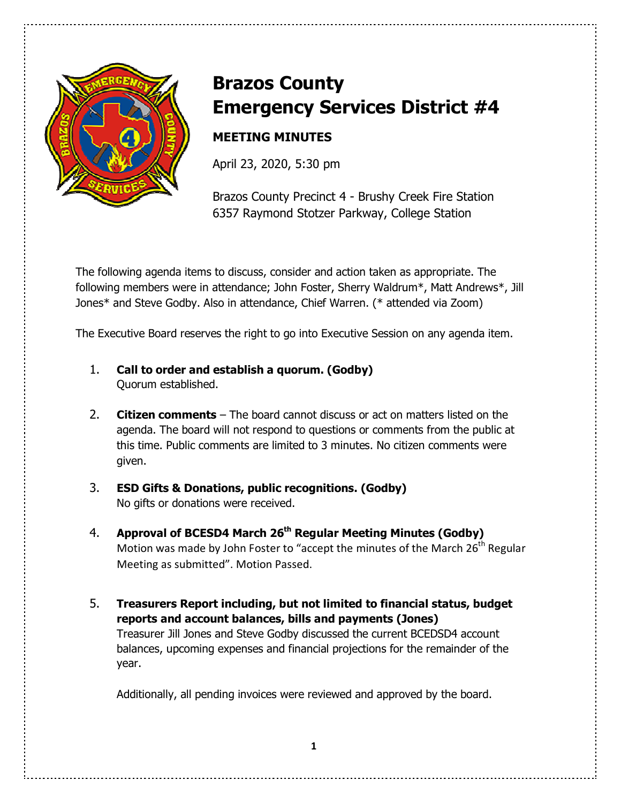

# **Brazos County Emergency Services District #4**

# **MEETING MINUTES**

April 23, 2020, 5:30 pm

Brazos County Precinct 4 - Brushy Creek Fire Station 6357 Raymond Stotzer Parkway, College Station

The following agenda items to discuss, consider and action taken as appropriate. The following members were in attendance; John Foster, Sherry Waldrum\*, Matt Andrews\*, Jill Jones\* and Steve Godby. Also in attendance, Chief Warren. (\* attended via Zoom)

The Executive Board reserves the right to go into Executive Session on any agenda item.

- 1. **Call to order and establish a quorum. (Godby)** Quorum established.
- 2. **Citizen comments** The board cannot discuss or act on matters listed on the agenda. The board will not respond to questions or comments from the public at this time. Public comments are limited to 3 minutes. No citizen comments were given.
- 3. **ESD Gifts & Donations, public recognitions. (Godby)** No gifts or donations were received.
- 4. **Approval of BCESD4 March 26th Regular Meeting Minutes (Godby)** Motion was made by John Foster to "accept the minutes of the March  $26<sup>th</sup>$  Regular Meeting as submitted". Motion Passed.
- 5. **Treasurers Report including, but not limited to financial status, budget reports and account balances, bills and payments (Jones)**  Treasurer Jill Jones and Steve Godby discussed the current BCEDSD4 account balances, upcoming expenses and financial projections for the remainder of the year.

Additionally, all pending invoices were reviewed and approved by the board.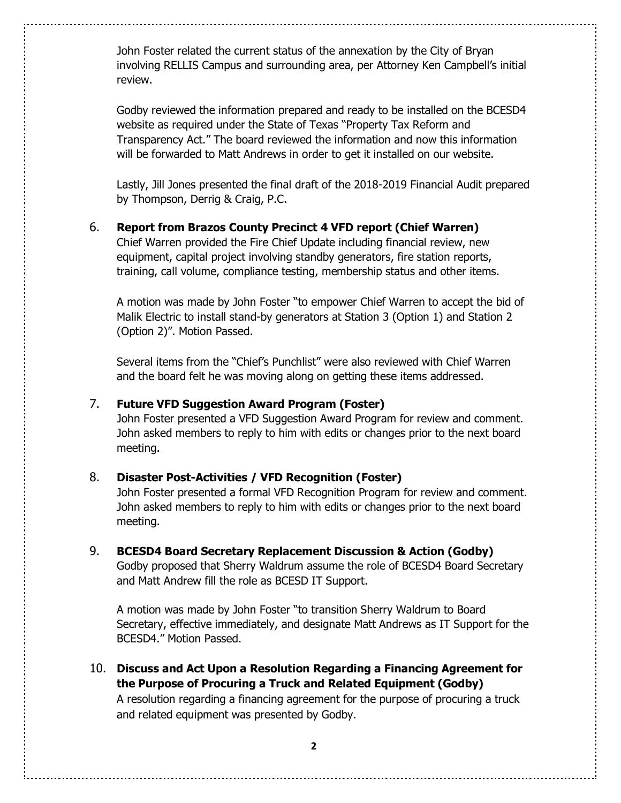John Foster related the current status of the annexation by the City of Bryan involving RELLIS Campus and surrounding area, per Attorney Ken Campbell's initial review.

 Godby reviewed the information prepared and ready to be installed on the BCESD4 website as required under the State of Texas "Property Tax Reform and Transparency Act." The board reviewed the information and now this information will be forwarded to Matt Andrews in order to get it installed on our website.

 Lastly, Jill Jones presented the final draft of the 2018-2019 Financial Audit prepared by Thompson, Derrig & Craig, P.C.

### 6. **Report from Brazos County Precinct 4 VFD report (Chief Warren)**

 Chief Warren provided the Fire Chief Update including financial review, new equipment, capital project involving standby generators, fire station reports, training, call volume, compliance testing, membership status and other items.

 A motion was made by John Foster "to empower Chief Warren to accept the bid of Malik Electric to install stand-by generators at Station 3 (Option 1) and Station 2 (Option 2)". Motion Passed.

 Several items from the "Chief's Punchlist" were also reviewed with Chief Warren and the board felt he was moving along on getting these items addressed.

#### 7. **Future VFD Suggestion Award Program (Foster)**

John Foster presented a VFD Suggestion Award Program for review and comment. John asked members to reply to him with edits or changes prior to the next board meeting.

#### 8. **Disaster Post-Activities / VFD Recognition (Foster)**

John Foster presented a formal VFD Recognition Program for review and comment. John asked members to reply to him with edits or changes prior to the next board meeting.

9. **BCESD4 Board Secretary Replacement Discussion & Action (Godby)**  Godby proposed that Sherry Waldrum assume the role of BCESD4 Board Secretary and Matt Andrew fill the role as BCESD IT Support.

 A motion was made by John Foster "to transition Sherry Waldrum to Board Secretary, effective immediately, and designate Matt Andrews as IT Support for the BCESD4." Motion Passed.

10. **Discuss and Act Upon a Resolution Regarding a Financing Agreement for the Purpose of Procuring a Truck and Related Equipment (Godby)**  A resolution regarding a financing agreement for the purpose of procuring a truck and related equipment was presented by Godby.